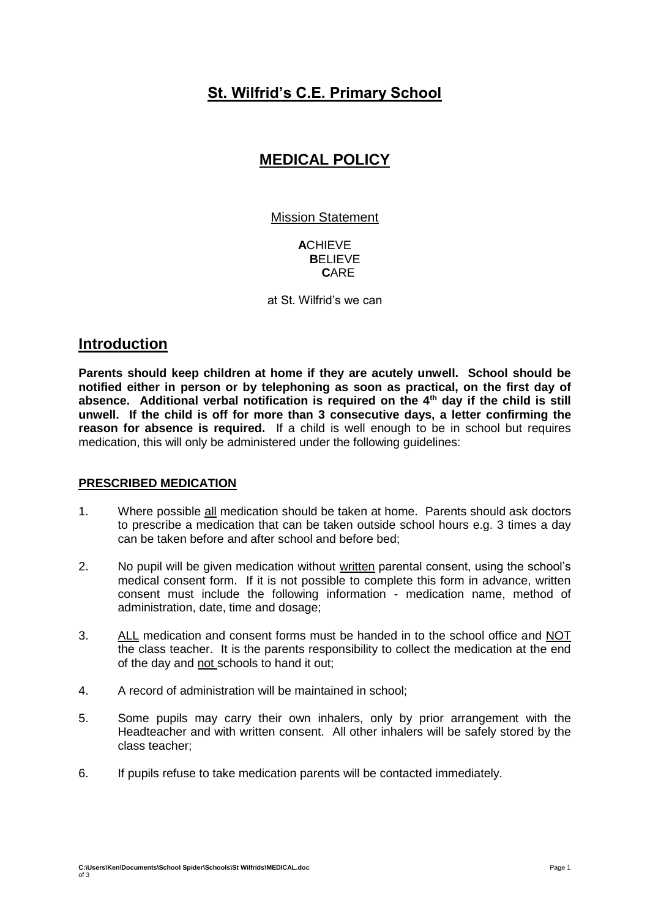## **St. Wilfrid's C.E. Primary School**

# **MEDICAL POLICY**

Mission Statement

**A**CHIEVE  **B**ELIEVE  **C**ARE

at St. Wilfrid's we can

## **Introduction**

**Parents should keep children at home if they are acutely unwell. School should be notified either in person or by telephoning as soon as practical, on the first day of absence. Additional verbal notification is required on the 4th day if the child is still unwell. If the child is off for more than 3 consecutive days, a letter confirming the reason for absence is required.** If a child is well enough to be in school but requires medication, this will only be administered under the following guidelines:

## **PRESCRIBED MEDICATION**

- 1. Where possible all medication should be taken at home. Parents should ask doctors to prescribe a medication that can be taken outside school hours e.g. 3 times a day can be taken before and after school and before bed;
- 2. No pupil will be given medication without written parental consent, using the school's medical consent form. If it is not possible to complete this form in advance, written consent must include the following information - medication name, method of administration, date, time and dosage;
- 3. ALL medication and consent forms must be handed in to the school office and NOT the class teacher. It is the parents responsibility to collect the medication at the end of the day and not schools to hand it out;
- 4. A record of administration will be maintained in school;
- 5. Some pupils may carry their own inhalers, only by prior arrangement with the Headteacher and with written consent. All other inhalers will be safely stored by the class teacher;
- 6. If pupils refuse to take medication parents will be contacted immediately.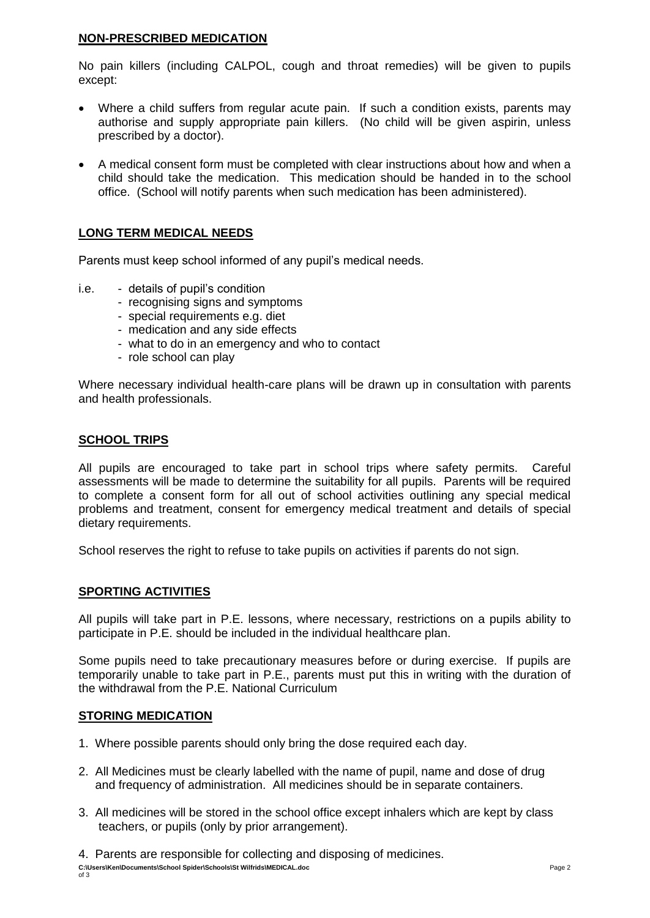### **NON-PRESCRIBED MEDICATION**

No pain killers (including CALPOL, cough and throat remedies) will be given to pupils except:

- Where a child suffers from regular acute pain. If such a condition exists, parents may authorise and supply appropriate pain killers. (No child will be given aspirin, unless prescribed by a doctor).
- A medical consent form must be completed with clear instructions about how and when a child should take the medication. This medication should be handed in to the school office. (School will notify parents when such medication has been administered).

## **LONG TERM MEDICAL NEEDS**

Parents must keep school informed of any pupil's medical needs.

- i.e. details of pupil's condition
	- recognising signs and symptoms
	- special requirements e.g. diet
	- medication and any side effects
	- what to do in an emergency and who to contact
	- role school can play

Where necessary individual health-care plans will be drawn up in consultation with parents and health professionals.

## **SCHOOL TRIPS**

All pupils are encouraged to take part in school trips where safety permits. Careful assessments will be made to determine the suitability for all pupils. Parents will be required to complete a consent form for all out of school activities outlining any special medical problems and treatment, consent for emergency medical treatment and details of special dietary requirements.

School reserves the right to refuse to take pupils on activities if parents do not sign.

## **SPORTING ACTIVITIES**

All pupils will take part in P.E. lessons, where necessary, restrictions on a pupils ability to participate in P.E. should be included in the individual healthcare plan.

Some pupils need to take precautionary measures before or during exercise. If pupils are temporarily unable to take part in P.E., parents must put this in writing with the duration of the withdrawal from the P.E. National Curriculum

#### **STORING MEDICATION**

- 1. Where possible parents should only bring the dose required each day.
- 2. All Medicines must be clearly labelled with the name of pupil, name and dose of drug and frequency of administration. All medicines should be in separate containers.
- 3. All medicines will be stored in the school office except inhalers which are kept by class teachers, or pupils (only by prior arrangement).
- 4. Parents are responsible for collecting and disposing of medicines.

**C:\Users\Ken\Documents\School Spider\Schools\St Wilfrids\MEDICAL.doc** Page 2